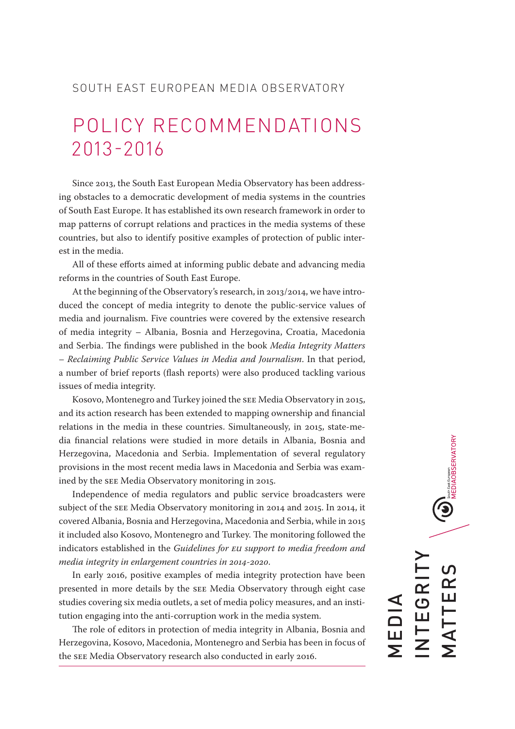# SOUTH EAST EUROPEAN MEDIA OBSERVATORY

# POLICY RECOMMENDATIONS 2013-2016

Since 2013, the South East European Media Observatory has been addressing obstacles to a democratic development of media systems in the countries of South East Europe. It has established its own research framework in order to map patterns of corrupt relations and practices in the media systems of these countries, but also to identify positive examples of protection of public interest in the media.

All of these efforts aimed at informing public debate and advancing media reforms in the countries of South East Europe.

At the beginning of the Observatory's research, in 2013/2014, we have introduced the concept of media integrity to denote the public-service values of media and journalism. Five countries were covered by the extensive research of media integrity – Albania, Bosnia and Herzegovina, Croatia, Macedonia and Serbia. The findings were published in the book *Media Integrity Matters – Reclaiming Public Service Values in Media and Journalism*. In that period, a number of brief reports (flash reports) were also produced tackling various issues of media integrity.

Kosovo, Montenegro and Turkey joined the SEE Media Observatory in 2015, and its action research has been extended to mapping ownership and financial relations in the media in these countries. Simultaneously, in 2015, state-media financial relations were studied in more details in Albania, Bosnia and Herzegovina, Macedonia and Serbia. Implementation of several regulatory provisions in the most recent media laws in Macedonia and Serbia was examined by the SEE Media Observatory monitoring in 2015.

Independence of media regulators and public service broadcasters were subject of the SEE Media Observatory monitoring in 2014 and 2015. In 2014, it covered Albania, Bosnia and Herzegovina, Macedonia and Serbia, while in 2015 it included also Kosovo, Montenegro and Turkey. The monitoring followed the indicators established in the *Guidelines for EU support to media freedom and media integrity in enlargement countries in 2014-2020*.

In early 2016, positive examples of media integrity protection have been presented in more details by the SEE Media Observatory through eight case studies covering six media outlets, a set of media policy measures, and an institution engaging into the anti-corruption work in the media system.

The role of editors in protection of media integrity in Albania, Bosnia and Herzegovina, Kosovo, Macedonia, Montenegro and Serbia has been in focus of the SEE Media Observatory research also conducted in early 2016.

 $\bigcirc$  MEDIAOBSERVATORY INTEGRITY TTERS MATTERS **EGRI** MEDIA —<br>Г<br>Г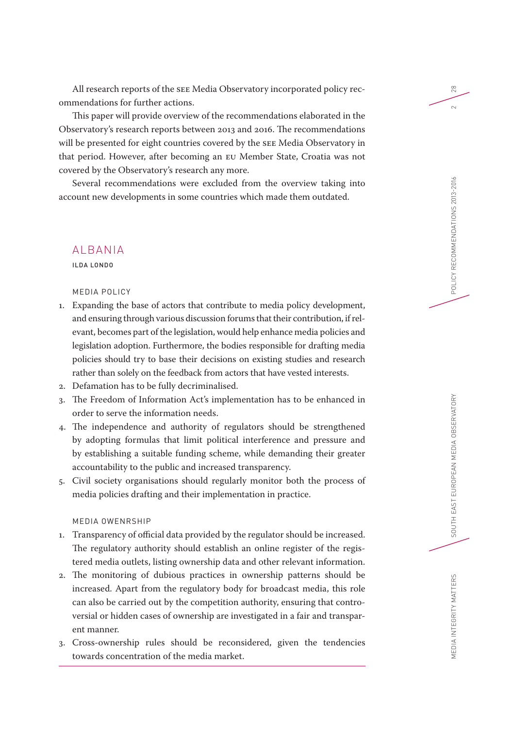All research reports of the SEE Media Observatory incorporated policy recommendations for further actions.

This paper will provide overview of the recommendations elaborated in the Observatory's research reports between 2013 and 2016. The recommendations will be presented for eight countries covered by the SEE Media Observatory in that period. However, after becoming an EU Member State, Croatia was not covered by the Observatory's research any more.

Several recommendations were excluded from the overview taking into account new developments in some countries which made them outdated.

# ALBANIA

ILDA LONDO

#### MEDIA POLICY

- 1. Expanding the base of actors that contribute to media policy development, and ensuring through various discussion forums that their contribution, if relevant, becomes part of the legislation, would help enhance media policies and legislation adoption. Furthermore, the bodies responsible for drafting media policies should try to base their decisions on existing studies and research rather than solely on the feedback from actors that have vested interests.
- 2. Defamation has to be fully decriminalised.
- 3. The Freedom of Information Act's implementation has to be enhanced in order to serve the information needs.
- 4. The independence and authority of regulators should be strengthened by adopting formulas that limit political interference and pressure and by establishing a suitable funding scheme, while demanding their greater accountability to the public and increased transparency.
- 5. Civil society organisations should regularly monitor both the process of media policies drafting and their implementation in practice.

#### MEDIA OWENRSHIP

- 1. Transparency of official data provided by the regulator should be increased. The regulatory authority should establish an online register of the registered media outlets, listing ownership data and other relevant information.
- 2. The monitoring of dubious practices in ownership patterns should be increased. Apart from the regulatory body for broadcast media, this role can also be carried out by the competition authority, ensuring that controversial or hidden cases of ownership are investigated in a fair and transparent manner.
- 3. Cross-ownership rules should be reconsidered, given the tendencies towards concentration of the media market.

28

 $\sim$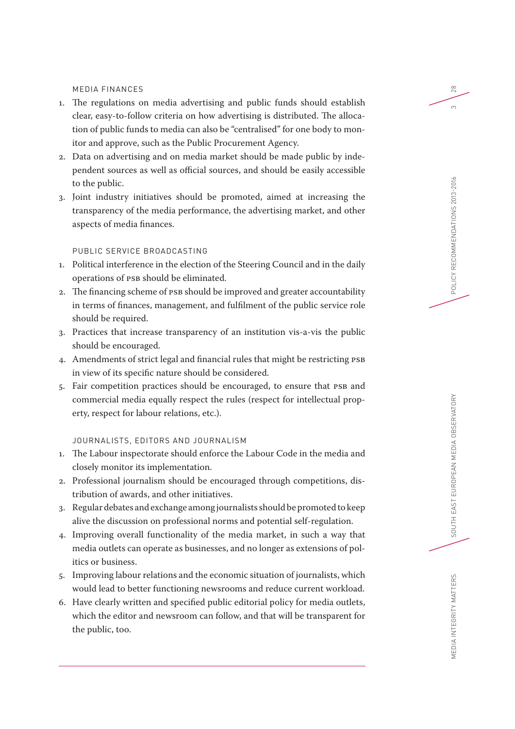#### MEDIA FINANCES

- 1. The regulations on media advertising and public funds should establish clear, easy-to-follow criteria on how advertising is distributed. The allocation of public funds to media can also be "centralised" for one body to monitor and approve, such as the Public Procurement Agency.
- 2. Data on advertising and on media market should be made public by independent sources as well as official sources, and should be easily accessible to the public.
- 3. Joint industry initiatives should be promoted, aimed at increasing the transparency of the media performance, the advertising market, and other aspects of media finances.

# PUBLIC SERVICE BROADCASTING

- 1. Political interference in the election of the Steering Council and in the daily operations of PSB should be eliminated.
- 2. The financing scheme of PSB should be improved and greater accountability in terms of finances, management, and fulfilment of the public service role should be required.
- 3. Practices that increase transparency of an institution vis-a-vis the public should be encouraged.
- 4. Amendments of strict legal and financial rules that might be restricting PSB in view of its specific nature should be considered.
- 5. Fair competition practices should be encouraged, to ensure that PSB and commercial media equally respect the rules (respect for intellectual property, respect for labour relations, etc.).

# JOURNALISTS, EDITORS AND JOURNALISM

- 1. The Labour inspectorate should enforce the Labour Code in the media and closely monitor its implementation.
- 2. Professional journalism should be encouraged through competitions, distribution of awards, and other initiatives.
- 3. Regular debates and exchange among journalists should be promoted to keep alive the discussion on professional norms and potential self-regulation.
- 4. Improving overall functionality of the media market, in such a way that media outlets can operate as businesses, and no longer as extensions of politics or business.
- 5. Improving labour relations and the economic situation of journalists, which would lead to better functioning newsrooms and reduce current workload.
- 6. Have clearly written and specified public editorial policy for media outlets, which the editor and newsroom can follow, and that will be transparent for the public, too.

28

 $\infty$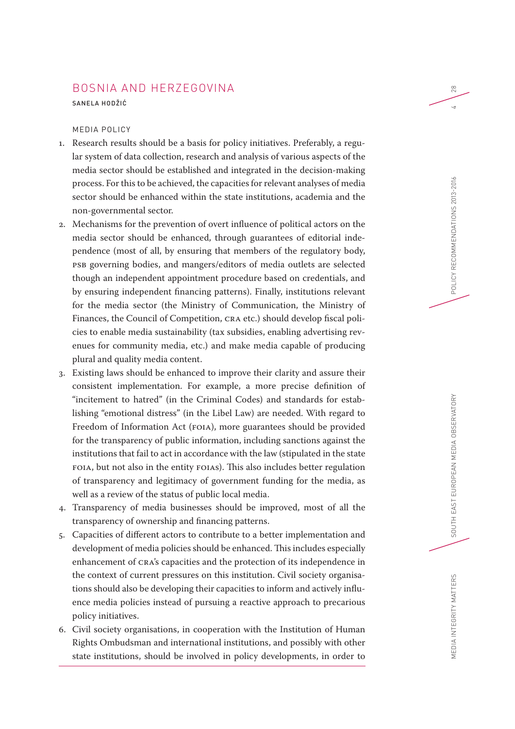# BOSNIA AND HERZEGOVINA

SANELA HODŽIĆ

# MEDIA POLICY

- 1. Research results should be a basis for policy initiatives. Preferably, a regular system of data collection, research and analysis of various aspects of the media sector should be established and integrated in the decision-making process. For this to be achieved, the capacities for relevant analyses of media sector should be enhanced within the state institutions, academia and the non-governmental sector.
- 2. Mechanisms for the prevention of overt influence of political actors on the media sector should be enhanced, through guarantees of editorial independence (most of all, by ensuring that members of the regulatory body, PSB governing bodies, and mangers/editors of media outlets are selected though an independent appointment procedure based on credentials, and by ensuring independent financing patterns). Finally, institutions relevant for the media sector (the Ministry of Communication, the Ministry of Finances, the Council of Competition, CRA etc.) should develop fiscal policies to enable media sustainability (tax subsidies, enabling advertising revenues for community media, etc.) and make media capable of producing plural and quality media content.
- 3. Existing laws should be enhanced to improve their clarity and assure their consistent implementation. For example, a more precise definition of "incitement to hatred" (in the Criminal Codes) and standards for establishing "emotional distress" (in the Libel Law) are needed. With regard to Freedom of Information Act (FOIA), more guarantees should be provided for the transparency of public information, including sanctions against the institutions that fail to act in accordance with the law (stipulated in the state FOIA, but not also in the entity FOIAs). This also includes better regulation of transparency and legitimacy of government funding for the media, as well as a review of the status of public local media.
- 4. Transparency of media businesses should be improved, most of all the transparency of ownership and financing patterns.
- 5. Capacities of different actors to contribute to a better implementation and development of media policies should be enhanced. This includes especially enhancement of CRA's capacities and the protection of its independence in the context of current pressures on this institution. Civil society organisations should also be developing their capacities to inform and actively influence media policies instead of pursuing a reactive approach to precarious policy initiatives.
- 6. Civil society organisations, in cooperation with the Institution of Human Rights Ombudsman and international institutions, and possibly with other state institutions, should be involved in policy developments, in order to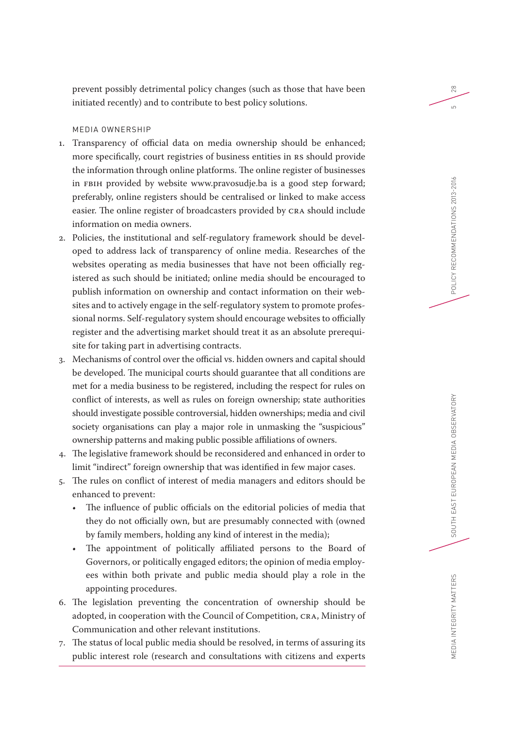prevent possibly detrimental policy changes (such as those that have been initiated recently) and to contribute to best policy solutions.

# MEDIA OWNERSHIP

- 1. Transparency of official data on media ownership should be enhanced; more specifically, court registries of business entities in RS should provide the information through online platforms. The online register of businesses in FBIH provided by website www.pravosudje.ba is a good step forward; preferably, online registers should be centralised or linked to make access easier. The online register of broadcasters provided by CRA should include information on media owners.
- 2. Policies, the institutional and self-regulatory framework should be developed to address lack of transparency of online media. Researches of the websites operating as media businesses that have not been officially registered as such should be initiated; online media should be encouraged to publish information on ownership and contact information on their websites and to actively engage in the self-regulatory system to promote professional norms. Self-regulatory system should encourage websites to officially register and the advertising market should treat it as an absolute prerequisite for taking part in advertising contracts.
- 3. Mechanisms of control over the official vs. hidden owners and capital should be developed. The municipal courts should guarantee that all conditions are met for a media business to be registered, including the respect for rules on conflict of interests, as well as rules on foreign ownership; state authorities should investigate possible controversial, hidden ownerships; media and civil society organisations can play a major role in unmasking the "suspicious" ownership patterns and making public possible affiliations of owners.
- 4. The legislative framework should be reconsidered and enhanced in order to limit "indirect" foreign ownership that was identified in few major cases.
- 5. The rules on conflict of interest of media managers and editors should be enhanced to prevent:
	- The influence of public officials on the editorial policies of media that they do not officially own, but are presumably connected with (owned by family members, holding any kind of interest in the media);
	- The appointment of politically affiliated persons to the Board of Governors, or politically engaged editors; the opinion of media employees within both private and public media should play a role in the appointing procedures.
- 6. The legislation preventing the concentration of ownership should be adopted, in cooperation with the Council of Competition, CRA, Ministry of Communication and other relevant institutions.
- 7. The status of local public media should be resolved, in terms of assuring its public interest role (research and consultations with citizens and experts

28

<u>က</u>

MEDIA INTEGRITY MATTERS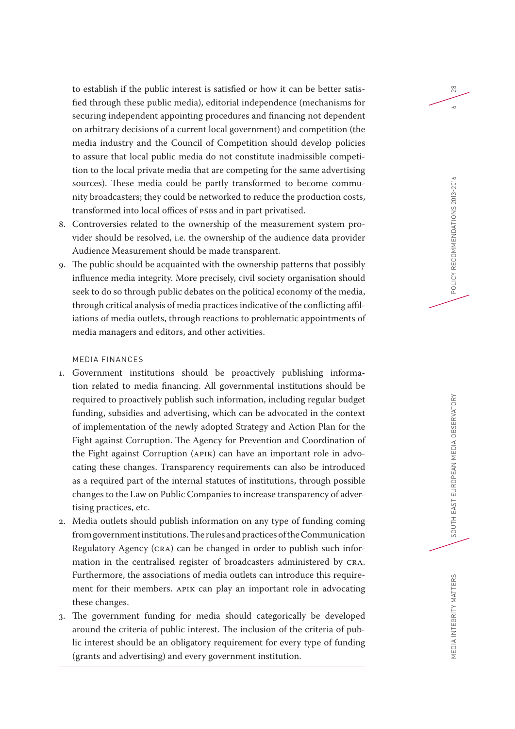to establish if the public interest is satisfied or how it can be better satisfied through these public media), editorial independence (mechanisms for securing independent appointing procedures and financing not dependent on arbitrary decisions of a current local government) and competition (the media industry and the Council of Competition should develop policies to assure that local public media do not constitute inadmissible competition to the local private media that are competing for the same advertising sources). These media could be partly transformed to become community broadcasters; they could be networked to reduce the production costs, transformed into local offices of PSBs and in part privatised.

- 8. Controversies related to the ownership of the measurement system provider should be resolved, i.e. the ownership of the audience data provider Audience Measurement should be made transparent.
- 9. The public should be acquainted with the ownership patterns that possibly influence media integrity. More precisely, civil society organisation should seek to do so through public debates on the political economy of the media, through critical analysis of media practices indicative of the conflicting affiliations of media outlets, through reactions to problematic appointments of media managers and editors, and other activities.

#### MEDIA FINANCES

- 1. Government institutions should be proactively publishing information related to media financing. All governmental institutions should be required to proactively publish such information, including regular budget funding, subsidies and advertising, which can be advocated in the context of implementation of the newly adopted Strategy and Action Plan for the Fight against Corruption. The Agency for Prevention and Coordination of the Fight against Corruption (APIK) can have an important role in advocating these changes. Transparency requirements can also be introduced as a required part of the internal statutes of institutions, through possible changes to the Law on Public Companies to increase transparency of advertising practices, etc.
- 2. Media outlets should publish information on any type of funding coming from government institutions. The rules and practices of the Communication Regulatory Agency (CRA) can be changed in order to publish such information in the centralised register of broadcasters administered by CRA. Furthermore, the associations of media outlets can introduce this requirement for their members. APIK can play an important role in advocating these changes.
- 3. The government funding for media should categorically be developed around the criteria of public interest. The inclusion of the criteria of public interest should be an obligatory requirement for every type of funding (grants and advertising) and every government institution.

28

 $\sim$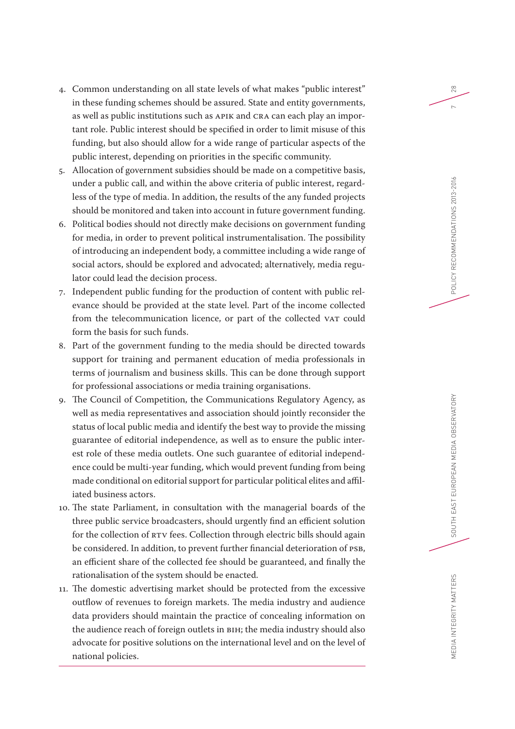- 4. Common understanding on all state levels of what makes "public interest" in these funding schemes should be assured. State and entity governments, as well as public institutions such as APIK and CRA can each play an important role. Public interest should be specified in order to limit misuse of this funding, but also should allow for a wide range of particular aspects of the public interest, depending on priorities in the specific community.
- 5. Allocation of government subsidies should be made on a competitive basis, under a public call, and within the above criteria of public interest, regardless of the type of media. In addition, the results of the any funded projects should be monitored and taken into account in future government funding.
- 6. Political bodies should not directly make decisions on government funding for media, in order to prevent political instrumentalisation. The possibility of introducing an independent body, a committee including a wide range of social actors, should be explored and advocated; alternatively, media regulator could lead the decision process.
- 7. Independent public funding for the production of content with public relevance should be provided at the state level. Part of the income collected from the telecommunication licence, or part of the collected VAT could form the basis for such funds.
- 8. Part of the government funding to the media should be directed towards support for training and permanent education of media professionals in terms of journalism and business skills. This can be done through support for professional associations or media training organisations.
- 9. The Council of Competition, the Communications Regulatory Agency, as well as media representatives and association should jointly reconsider the status of local public media and identify the best way to provide the missing guarantee of editorial independence, as well as to ensure the public interest role of these media outlets. One such guarantee of editorial independence could be multi-year funding, which would prevent funding from being made conditional on editorial support for particular political elites and affiliated business actors.
- 10. The state Parliament, in consultation with the managerial boards of the three public service broadcasters, should urgently find an efficient solution for the collection of RTV fees. Collection through electric bills should again be considered. In addition, to prevent further financial deterioration of PSB, an efficient share of the collected fee should be guaranteed, and finally the rationalisation of the system should be enacted.
- 11. The domestic advertising market should be protected from the excessive outflow of revenues to foreign markets. The media industry and audience data providers should maintain the practice of concealing information on the audience reach of foreign outlets in BiH; the media industry should also advocate for positive solutions on the international level and on the level of national policies.

28

 $\sim$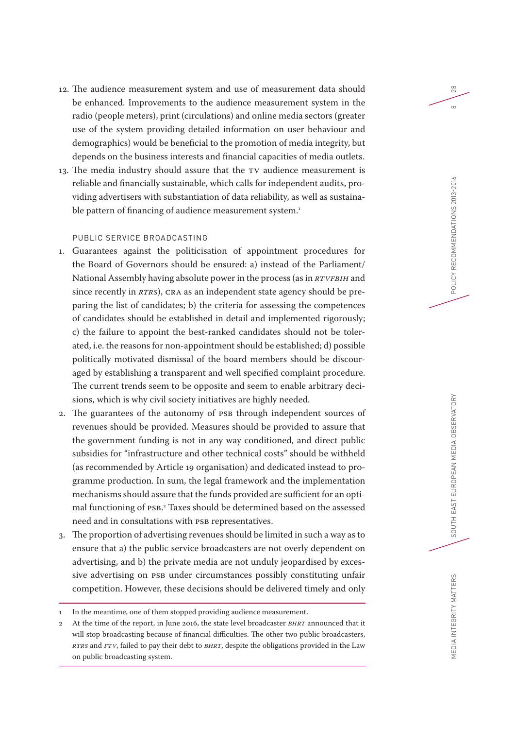- 12. The audience measurement system and use of measurement data should be enhanced. Improvements to the audience measurement system in the radio (people meters), print (circulations) and online media sectors (greater use of the system providing detailed information on user behaviour and demographics) would be beneficial to the promotion of media integrity, but depends on the business interests and financial capacities of media outlets.
- 13. The media industry should assure that the TV audience measurement is reliable and financially sustainable, which calls for independent audits, providing advertisers with substantiation of data reliability, as well as sustainable pattern of financing of audience measurement system.<sup>1</sup>

# PUBLIC SERVICE BROADCASTING

- 1. Guarantees against the politicisation of appointment procedures for the Board of Governors should be ensured: a) instead of the Parliament/ National Assembly having absolute power in the process (as in *RTVFBiH* and since recently in *RTRS*), CRA as an independent state agency should be preparing the list of candidates; b) the criteria for assessing the competences of candidates should be established in detail and implemented rigorously; c) the failure to appoint the best-ranked candidates should not be tolerated, i.e. the reasons for non-appointment should be established; d) possible politically motivated dismissal of the board members should be discouraged by establishing a transparent and well specified complaint procedure. The current trends seem to be opposite and seem to enable arbitrary decisions, which is why civil society initiatives are highly needed.
- 2. The guarantees of the autonomy of PSB through independent sources of revenues should be provided. Measures should be provided to assure that the government funding is not in any way conditioned, and direct public subsidies for "infrastructure and other technical costs" should be withheld (as recommended by Article 19 organisation) and dedicated instead to programme production. In sum, the legal framework and the implementation mechanisms should assure that the funds provided are sufficient for an optimal functioning of PSB. 2 Taxes should be determined based on the assessed need and in consultations with PSB representatives.
- 3. The proportion of advertising revenues should be limited in such a way as to ensure that a) the public service broadcasters are not overly dependent on advertising, and b) the private media are not unduly jeopardised by excessive advertising on PSB under circumstances possibly constituting unfair competition. However, these decisions should be delivered timely and only

28

 $\infty$ 

MEDIA INTEGRITY MATTERS

In the meantime, one of them stopped providing audience measurement.

<sup>2</sup> At the time of the report, in June 2016, the state level broadcaster *BHRT* announced that it will stop broadcasting because of financial difficulties. The other two public broadcasters, *RTRS* and *FTV*, failed to pay their debt to *BHRT*, despite the obligations provided in the Law on public broadcasting system.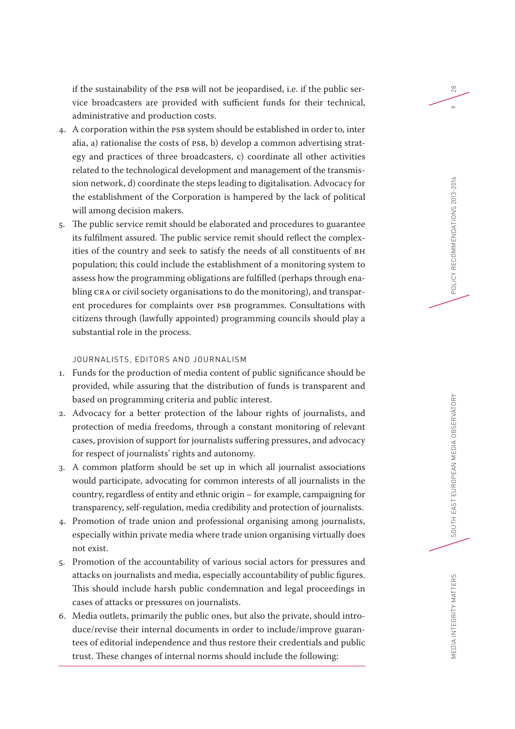if the sustainability of the PSB will not be jeopardised, i.e. if the public service broadcasters are provided with sufficient funds for their technical, administrative and production costs.

- 4. A corporation within the PSB system should be established in order to, inter alia, a) rationalise the costs of PSB, b) develop a common advertising strategy and practices of three broadcasters, c) coordinate all other activities related to the technological development and management of the transmission network, d) coordinate the steps leading to digitalisation. Advocacy for the establishment of the Corporation is hampered by the lack of political will among decision makers.
- 5. The public service remit should be elaborated and procedures to guarantee its fulfilment assured. The public service remit should reflect the complexities of the country and seek to satisfy the needs of all constituents of BH population; this could include the establishment of a monitoring system to assess how the programming obligations are fulfilled (perhaps through enabling CRA or civil society organisations to do the monitoring), and transparent procedures for complaints over PSB programmes. Consultations with citizens through (lawfully appointed) programming councils should play a substantial role in the process.

# JOURNALISTS, EDITORS AND JOURNALISM

- 1. Funds for the production of media content of public significance should be provided, while assuring that the distribution of funds is transparent and based on programming criteria and public interest.
- 2. Advocacy for a better protection of the labour rights of journalists, and protection of media freedoms, through a constant monitoring of relevant cases, provision of support for journalists suffering pressures, and advocacy for respect of journalists' rights and autonomy.
- 3. A common platform should be set up in which all journalist associations would participate, advocating for common interests of all journalists in the country, regardless of entity and ethnic origin – for example, campaigning for transparency, self-regulation, media credibility and protection of journalists.
- 4. Promotion of trade union and professional organising among journalists, especially within private media where trade union organising virtually does not exist.
- 5. Promotion of the accountability of various social actors for pressures and attacks on journalists and media, especially accountability of public figures. This should include harsh public condemnation and legal proceedings in cases of attacks or pressures on journalists.
- 6. Media outlets, primarily the public ones, but also the private, should introduce/revise their internal documents in order to include/improve guarantees of editorial independence and thus restore their credentials and public trust. These changes of internal norms should include the following:

28

 $\circ$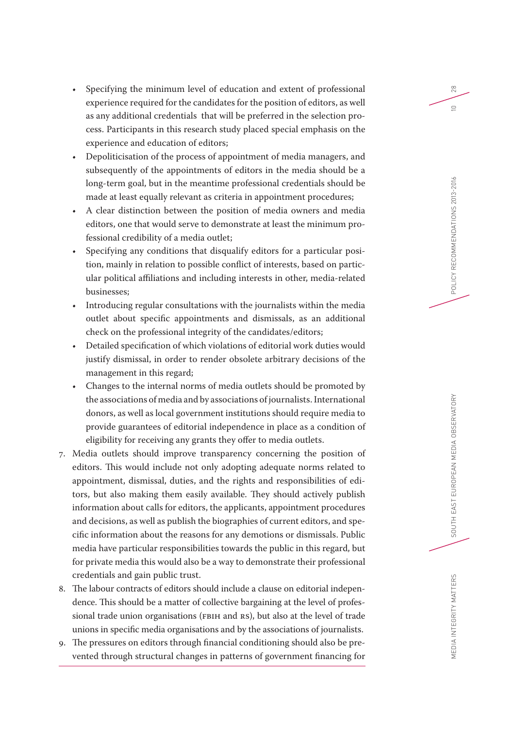- Specifying the minimum level of education and extent of professional experience required for the candidates for the position of editors, as well as any additional credentials that will be preferred in the selection process. Participants in this research study placed special emphasis on the experience and education of editors;
- Depoliticisation of the process of appointment of media managers, and subsequently of the appointments of editors in the media should be a long-term goal, but in the meantime professional credentials should be made at least equally relevant as criteria in appointment procedures;
- A clear distinction between the position of media owners and media editors, one that would serve to demonstrate at least the minimum professional credibility of a media outlet;
- Specifying any conditions that disqualify editors for a particular position, mainly in relation to possible conflict of interests, based on particular political affiliations and including interests in other, media-related businesses;
- Introducing regular consultations with the journalists within the media outlet about specific appointments and dismissals, as an additional check on the professional integrity of the candidates/editors;
- Detailed specification of which violations of editorial work duties would justify dismissal, in order to render obsolete arbitrary decisions of the management in this regard;
- Changes to the internal norms of media outlets should be promoted by the associations of media and by associations of journalists. International donors, as well as local government institutions should require media to provide guarantees of editorial independence in place as a condition of eligibility for receiving any grants they offer to media outlets.
- 7. Media outlets should improve transparency concerning the position of editors. This would include not only adopting adequate norms related to appointment, dismissal, duties, and the rights and responsibilities of editors, but also making them easily available. They should actively publish information about calls for editors, the applicants, appointment procedures and decisions, as well as publish the biographies of current editors, and specific information about the reasons for any demotions or dismissals. Public media have particular responsibilities towards the public in this regard, but for private media this would also be a way to demonstrate their professional credentials and gain public trust.
- 8. The labour contracts of editors should include a clause on editorial independence. This should be a matter of collective bargaining at the level of professional trade union organisations (FBIH and RS), but also at the level of trade unions in specific media organisations and by the associations of journalists.
- 9. The pressures on editors through financial conditioning should also be prevented through structural changes in patterns of government financing for

28

 $\supseteq$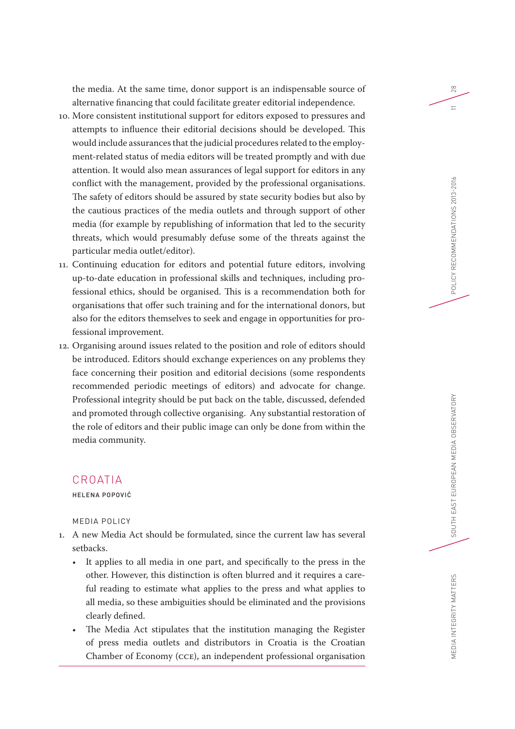the media. At the same time, donor support is an indispensable source of alternative financing that could facilitate greater editorial independence.

- 10. More consistent institutional support for editors exposed to pressures and attempts to influence their editorial decisions should be developed. This would include assurances that the judicial procedures related to the employment-related status of media editors will be treated promptly and with due attention. It would also mean assurances of legal support for editors in any conflict with the management, provided by the professional organisations. The safety of editors should be assured by state security bodies but also by the cautious practices of the media outlets and through support of other media (for example by republishing of information that led to the security threats, which would presumably defuse some of the threats against the particular media outlet/editor).
- 11. Continuing education for editors and potential future editors, involving up-to-date education in professional skills and techniques, including professional ethics, should be organised. This is a recommendation both for organisations that offer such training and for the international donors, but also for the editors themselves to seek and engage in opportunities for professional improvement.
- 12. Organising around issues related to the position and role of editors should be introduced. Editors should exchange experiences on any problems they face concerning their position and editorial decisions (some respondents recommended periodic meetings of editors) and advocate for change. Professional integrity should be put back on the table, discussed, defended and promoted through collective organising. Any substantial restoration of the role of editors and their public image can only be done from within the media community.

# CROATIA

HELENA POPOVIĆ

MEDIA POLICY

- 1. A new Media Act should be formulated, since the current law has several setbacks.
	- It applies to all media in one part, and specifically to the press in the other. However, this distinction is often blurred and it requires a careful reading to estimate what applies to the press and what applies to all media, so these ambiguities should be eliminated and the provisions clearly defined.
	- The Media Act stipulates that the institution managing the Register of press media outlets and distributors in Croatia is the Croatian Chamber of Economy (CCE), an independent professional organisation

28

 $\equiv$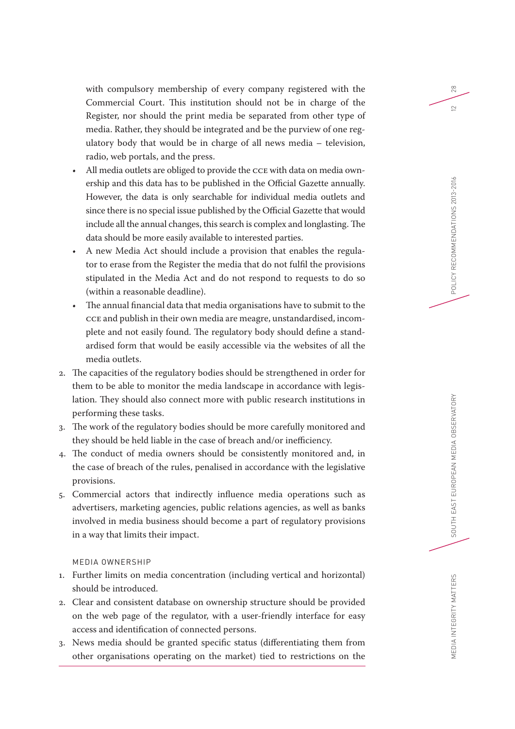with compulsory membership of every company registered with the Commercial Court. This institution should not be in charge of the Register, nor should the print media be separated from other type of media. Rather, they should be integrated and be the purview of one regulatory body that would be in charge of all news media – television, radio, web portals, and the press.

- All media outlets are obliged to provide the CCE with data on media ownership and this data has to be published in the Official Gazette annually. However, the data is only searchable for individual media outlets and since there is no special issue published by the Official Gazette that would include all the annual changes, this search is complex and longlasting. The data should be more easily available to interested parties.
- A new Media Act should include a provision that enables the regulator to erase from the Register the media that do not fulfil the provisions stipulated in the Media Act and do not respond to requests to do so (within a reasonable deadline).
- The annual financial data that media organisations have to submit to the CCE and publish in their own media are meagre, unstandardised, incomplete and not easily found. The regulatory body should define a standardised form that would be easily accessible via the websites of all the media outlets.
- 2. The capacities of the regulatory bodies should be strengthened in order for them to be able to monitor the media landscape in accordance with legislation. They should also connect more with public research institutions in performing these tasks.
- 3. The work of the regulatory bodies should be more carefully monitored and they should be held liable in the case of breach and/or inefficiency.
- 4. The conduct of media owners should be consistently monitored and, in the case of breach of the rules, penalised in accordance with the legislative provisions.
- 5. Commercial actors that indirectly influence media operations such as advertisers, marketing agencies, public relations agencies, as well as banks involved in media business should become a part of regulatory provisions in a way that limits their impact.

# MEDIA OWNERSHIP

- 1. Further limits on media concentration (including vertical and horizontal) should be introduced.
- 2. Clear and consistent database on ownership structure should be provided on the web page of the regulator, with a user-friendly interface for easy access and identification of connected persons.
- 3. News media should be granted specific status (differentiating them from other organisations operating on the market) tied to restrictions on the

28

 $\overline{2}$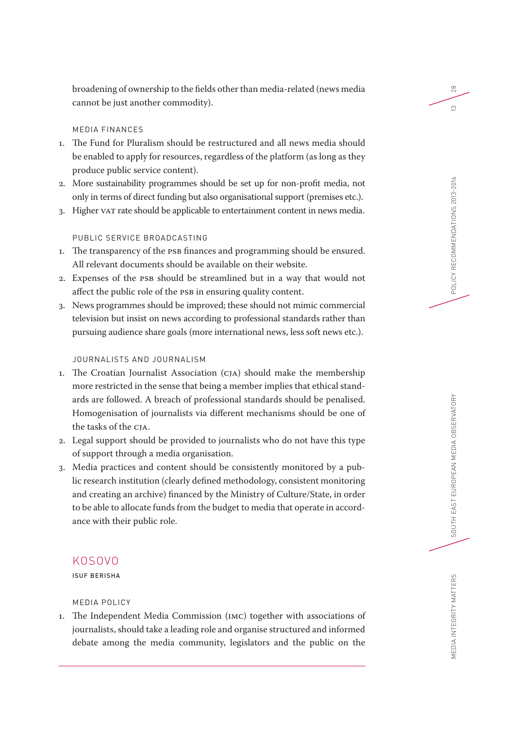broadening of ownership to the fields other than media-related (news media cannot be just another commodity).

# MEDIA FINANCES

- 1. The Fund for Pluralism should be restructured and all news media should be enabled to apply for resources, regardless of the platform (as long as they produce public service content).
- 2. More sustainability programmes should be set up for non-profit media, not only in terms of direct funding but also organisational support (premises etc.).
- 3. Higher VAT rate should be applicable to entertainment content in news media.

# PUBLIC SERVICE BROADCASTING

- 1. The transparency of the PSB finances and programming should be ensured. All relevant documents should be available on their website.
- 2. Expenses of the PSB should be streamlined but in a way that would not affect the public role of the PSB in ensuring quality content.
- 3. News programmes should be improved; these should not mimic commercial television but insist on news according to professional standards rather than pursuing audience share goals (more international news, less soft news etc.).

# JOURNALISTS AND JOURNALISM

- 1. The Croatian Journalist Association (CJA) should make the membership more restricted in the sense that being a member implies that ethical standards are followed. A breach of professional standards should be penalised. Homogenisation of journalists via different mechanisms should be one of the tasks of the CJA.
- 2. Legal support should be provided to journalists who do not have this type of support through a media organisation.
- 3. Media practices and content should be consistently monitored by a public research institution (clearly defined methodology, consistent monitoring and creating an archive) financed by the Ministry of Culture/State, in order to be able to allocate funds from the budget to media that operate in accordance with their public role.

# KOSOVO

ISUF BERISHA

# MEDIA POLICY

1. The Independent Media Commission (IMC) together with associations of journalists, should take a leading role and organise structured and informed debate among the media community, legislators and the public on the 28

 $\tilde{c}$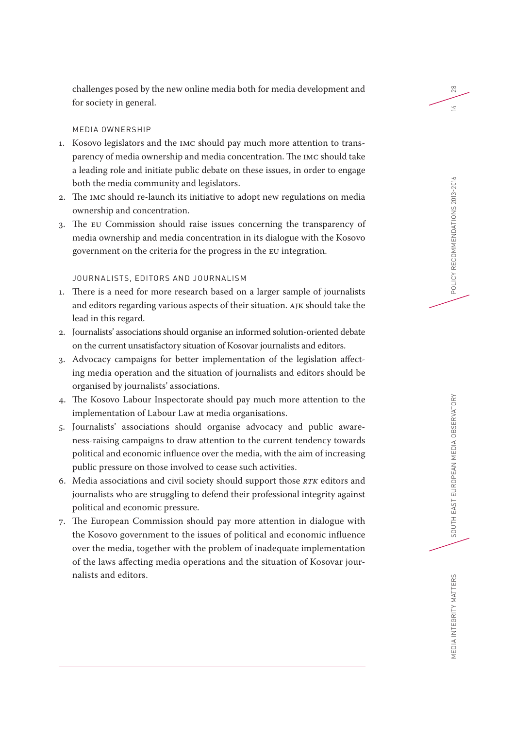challenges posed by the new online media both for media development and for society in general.

# MEDIA OWNERSHIP

- 1. Kosovo legislators and the IMC should pay much more attention to transparency of media ownership and media concentration. The IMC should take a leading role and initiate public debate on these issues, in order to engage both the media community and legislators.
- 2. The IMC should re-launch its initiative to adopt new regulations on media ownership and concentration.
- 3. The EU Commission should raise issues concerning the transparency of media ownership and media concentration in its dialogue with the Kosovo government on the criteria for the progress in the EU integration.

# JOURNALISTS, EDITORS AND JOURNALISM

- 1. There is a need for more research based on a larger sample of journalists and editors regarding various aspects of their situation. AJK should take the lead in this regard.
- 2. Journalists' associations should organise an informed solution-oriented debate on the current unsatisfactory situation of Kosovar journalists and editors.
- 3. Advocacy campaigns for better implementation of the legislation affecting media operation and the situation of journalists and editors should be organised by journalists' associations.
- 4. The Kosovo Labour Inspectorate should pay much more attention to the implementation of Labour Law at media organisations.
- 5. Journalists' associations should organise advocacy and public awareness-raising campaigns to draw attention to the current tendency towards political and economic influence over the media, with the aim of increasing public pressure on those involved to cease such activities.
- 6. Media associations and civil society should support those *RTK* editors and journalists who are struggling to defend their professional integrity against political and economic pressure.
- 7. The European Commission should pay more attention in dialogue with the Kosovo government to the issues of political and economic influence over the media, together with the problem of inadequate implementation of the laws affecting media operations and the situation of Kosovar journalists and editors.

28

 $\geq$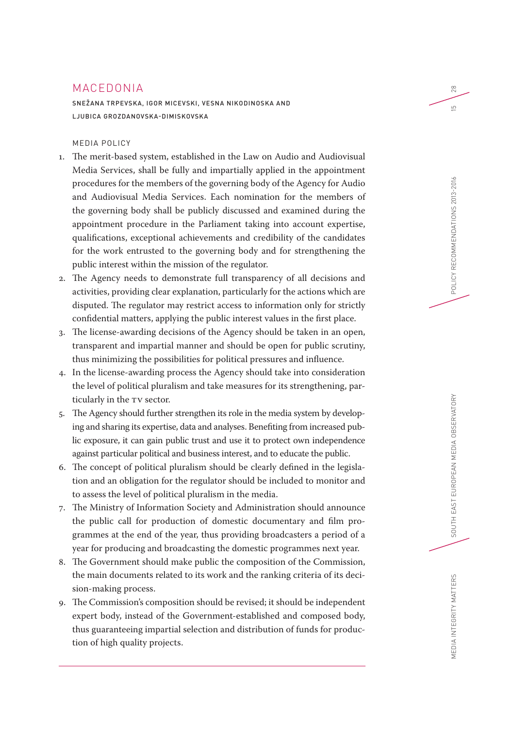# MACEDONIA

SNEŽANA TRPEVSKA, IGOR MICEVSKI, VESNA NIKODINOSKA AND LJUBICA GROZDANOVSKA-DIMISKOVSKA

# MEDIA POLICY

- 1. The merit-based system, established in the Law on Audio and Audiovisual Media Services, shall be fully and impartially applied in the appointment procedures for the members of the governing body of the Agency for Audio and Audiovisual Media Services. Each nomination for the members of the governing body shall be publicly discussed and examined during the appointment procedure in the Parliament taking into account expertise, qualifications, exceptional achievements and credibility of the candidates for the work entrusted to the governing body and for strengthening the public interest within the mission of the regulator.
- 2. The Agency needs to demonstrate full transparency of all decisions and activities, providing clear explanation, particularly for the actions which are disputed. The regulator may restrict access to information only for strictly confidential matters, applying the public interest values in the first place.
- 3. The license-awarding decisions of the Agency should be taken in an open, transparent and impartial manner and should be open for public scrutiny, thus minimizing the possibilities for political pressures and influence.
- 4. In the license-awarding process the Agency should take into consideration the level of political pluralism and take measures for its strengthening, particularly in the TV sector.
- 5. The Agency should further strengthen its role in the media system by developing and sharing its expertise, data and analyses. Benefiting from increased public exposure, it can gain public trust and use it to protect own independence against particular political and business interest, and to educate the public.
- 6. The concept of political pluralism should be clearly defined in the legislation and an obligation for the regulator should be included to monitor and to assess the level of political pluralism in the media.
- 7. The Ministry of Information Society and Administration should announce the public call for production of domestic documentary and film programmes at the end of the year, thus providing broadcasters a period of a year for producing and broadcasting the domestic programmes next year.
- 8. The Government should make public the composition of the Commission, the main documents related to its work and the ranking criteria of its decision-making process.
- 9. The Commission's composition should be revised; it should be independent expert body, instead of the Government-established and composed body, thus guaranteeing impartial selection and distribution of funds for production of high quality projects.

28

 $\overline{5}$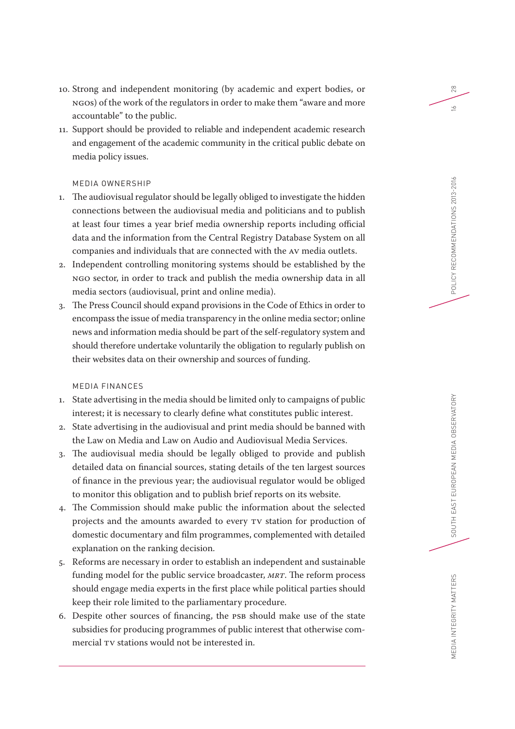- 10. Strong and independent monitoring (by academic and expert bodies, or NGOs) of the work of the regulators in order to make them "aware and more accountable" to the public.
- 11. Support should be provided to reliable and independent academic research and engagement of the academic community in the critical public debate on media policy issues.

# MEDIA OWNERSHIP

- 1. The audiovisual regulator should be legally obliged to investigate the hidden connections between the audiovisual media and politicians and to publish at least four times a year brief media ownership reports including official data and the information from the Central Registry Database System on all companies and individuals that are connected with the AV media outlets.
- 2. Independent controlling monitoring systems should be established by the NGO sector, in order to track and publish the media ownership data in all media sectors (audiovisual, print and online media).
- 3. The Press Council should expand provisions in the Code of Ethics in order to encompass the issue of media transparency in the online media sector; online news and information media should be part of the self-regulatory system and should therefore undertake voluntarily the obligation to regularly publish on their websites data on their ownership and sources of funding.

# MEDIA FINANCES

- 1. State advertising in the media should be limited only to campaigns of public interest; it is necessary to clearly define what constitutes public interest.
- 2. State advertising in the audiovisual and print media should be banned with the Law on Media and Law on Audio and Audiovisual Media Services.
- 3. The audiovisual media should be legally obliged to provide and publish detailed data on financial sources, stating details of the ten largest sources of finance in the previous year; the audiovisual regulator would be obliged to monitor this obligation and to publish brief reports on its website.
- 4. The Commission should make public the information about the selected projects and the amounts awarded to every TV station for production of domestic documentary and film programmes, complemented with detailed explanation on the ranking decision.
- 5. Reforms are necessary in order to establish an independent and sustainable funding model for the public service broadcaster, *MRT*. The reform process should engage media experts in the first place while political parties should keep their role limited to the parliamentary procedure.
- 6. Despite other sources of financing, the PSB should make use of the state subsidies for producing programmes of public interest that otherwise commercial TV stations would not be interested in.

28

 $\leq$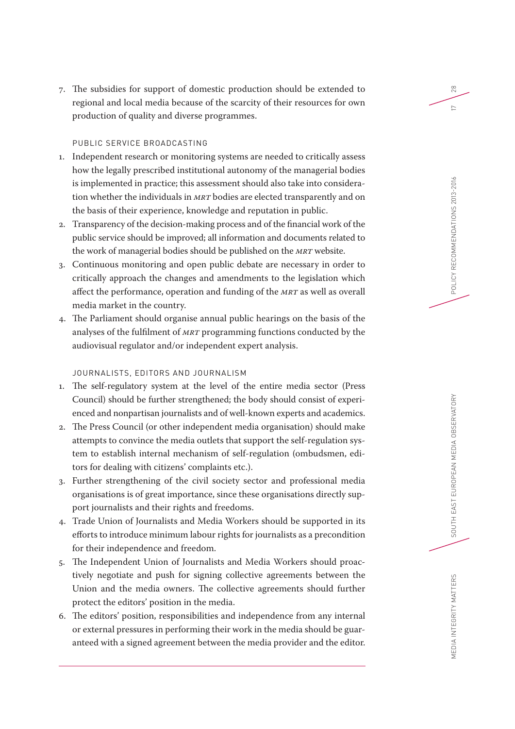7. The subsidies for support of domestic production should be extended to regional and local media because of the scarcity of their resources for own production of quality and diverse programmes.

# PUBLIC SERVICE BROADCASTING

- 1. Independent research or monitoring systems are needed to critically assess how the legally prescribed institutional autonomy of the managerial bodies is implemented in practice; this assessment should also take into consideration whether the individuals in *MRT* bodies are elected transparently and on the basis of their experience, knowledge and reputation in public.
- 2. Transparency of the decision-making process and of the financial work of the public service should be improved; all information and documents related to the work of managerial bodies should be published on the *MRT* website.
- 3. Continuous monitoring and open public debate are necessary in order to critically approach the changes and amendments to the legislation which affect the performance, operation and funding of the *MRT* as well as overall media market in the country.
- 4. The Parliament should organise annual public hearings on the basis of the analyses of the fulfilment of *MRT* programming functions conducted by the audiovisual regulator and/or independent expert analysis.

# JOURNALISTS, EDITORS AND JOURNALISM

- 1. The self-regulatory system at the level of the entire media sector (Press Council) should be further strengthened; the body should consist of experienced and nonpartisan journalists and of well-known experts and academics.
- 2. The Press Council (or other independent media organisation) should make attempts to convince the media outlets that support the self-regulation system to establish internal mechanism of self-regulation (ombudsmen, editors for dealing with citizens' complaints etc.).
- 3. Further strengthening of the civil society sector and professional media organisations is of great importance, since these organisations directly support journalists and their rights and freedoms.
- 4. Trade Union of Journalists and Media Workers should be supported in its efforts to introduce minimum labour rights for journalists as a precondition for their independence and freedom.
- 5. The Independent Union of Journalists and Media Workers should proactively negotiate and push for signing collective agreements between the Union and the media owners. The collective agreements should further protect the editors' position in the media.
- 6. The editors' position, responsibilities and independence from any internal or external pressures in performing their work in the media should be guaranteed with a signed agreement between the media provider and the editor.

SOUTH EAST EUROPEAN MEDIA OBSERVATORY

MEDIA INTEGRITY MATTERS

28

 $\sim$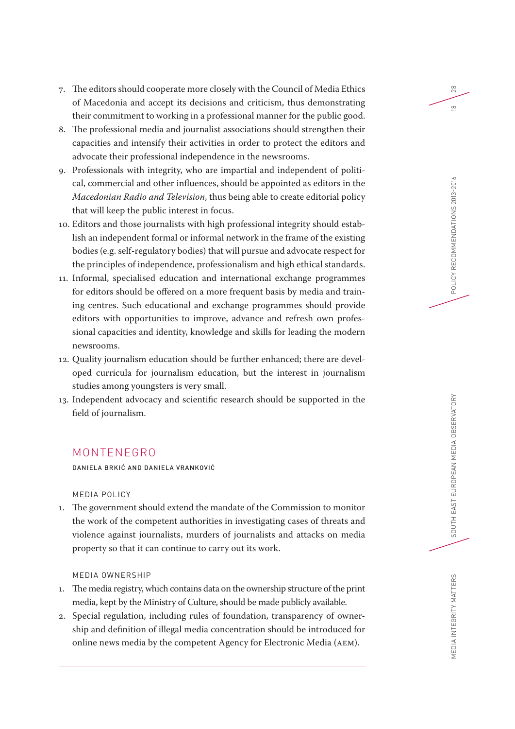- 7. The editors should cooperate more closely with the Council of Media Ethics of Macedonia and accept its decisions and criticism, thus demonstrating their commitment to working in a professional manner for the public good.
- 8. The professional media and journalist associations should strengthen their capacities and intensify their activities in order to protect the editors and advocate their professional independence in the newsrooms.
- 9. Professionals with integrity, who are impartial and independent of political, commercial and other influences, should be appointed as editors in the *Macedonian Radio and Television*, thus being able to create editorial policy that will keep the public interest in focus.
- 10. Editors and those journalists with high professional integrity should establish an independent formal or informal network in the frame of the existing bodies (e.g. self-regulatory bodies) that will pursue and advocate respect for the principles of independence, professionalism and high ethical standards.
- 11. Informal, specialised education and international exchange programmes for editors should be offered on a more frequent basis by media and training centres. Such educational and exchange programmes should provide editors with opportunities to improve, advance and refresh own professional capacities and identity, knowledge and skills for leading the modern newsrooms.
- 12. Quality journalism education should be further enhanced; there are developed curricula for journalism education, but the interest in journalism studies among youngsters is very small.
- 13. Independent advocacy and scientific research should be supported in the field of journalism.

# MONTENEGRO

DANIELA BRKIĆ AND DANIELA VRANKOVIĆ

MEDIA POLICY

1. The government should extend the mandate of the Commission to monitor the work of the competent authorities in investigating cases of threats and violence against journalists, murders of journalists and attacks on media property so that it can continue to carry out its work.

# MEDIA OWNERSHIP

- 1. The media registry, which contains data on the ownership structure of the print media, kept by the Ministry of Culture, should be made publicly available.
- 2. Special regulation, including rules of foundation, transparency of ownership and definition of illegal media concentration should be introduced for online news media by the competent Agency for Electronic Media (AEM).

SOUTH EAST EUROPEAN MEDIA OBSERVATORY

MEDIA INTEGRITY MATTERS

28

 $\frac{\infty}{2}$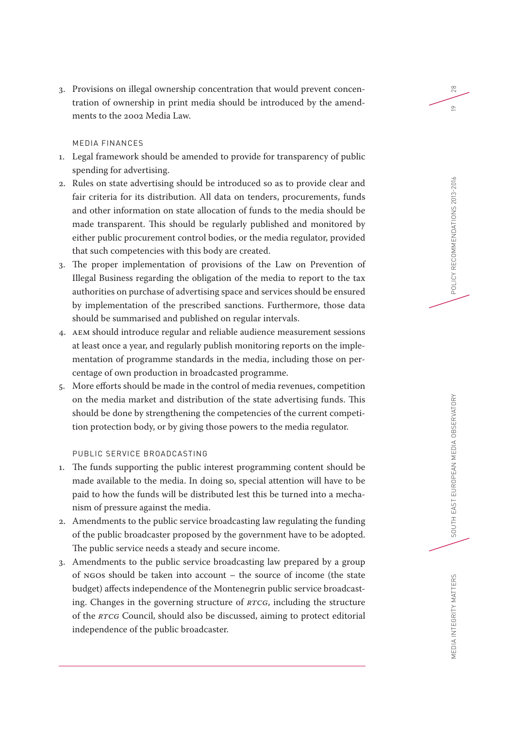3. Provisions on illegal ownership concentration that would prevent concentration of ownership in print media should be introduced by the amendments to the 2002 Media Law.

# MEDIA FINANCES

- 1. Legal framework should be amended to provide for transparency of public spending for advertising.
- 2. Rules on state advertising should be introduced so as to provide clear and fair criteria for its distribution. All data on tenders, procurements, funds and other information on state allocation of funds to the media should be made transparent. This should be regularly published and monitored by either public procurement control bodies, or the media regulator, provided that such competencies with this body are created.
- 3. The proper implementation of provisions of the Law on Prevention of Illegal Business regarding the obligation of the media to report to the tax authorities on purchase of advertising space and services should be ensured by implementation of the prescribed sanctions. Furthermore, those data should be summarised and published on regular intervals.
- 4. AEM should introduce regular and reliable audience measurement sessions at least once a year, and regularly publish monitoring reports on the implementation of programme standards in the media, including those on percentage of own production in broadcasted programme.
- 5. More efforts should be made in the control of media revenues, competition on the media market and distribution of the state advertising funds. This should be done by strengthening the competencies of the current competition protection body, or by giving those powers to the media regulator.

# PUBLIC SERVICE BROADCASTING

- 1. The funds supporting the public interest programming content should be made available to the media. In doing so, special attention will have to be paid to how the funds will be distributed lest this be turned into a mechanism of pressure against the media.
- 2. Amendments to the public service broadcasting law regulating the funding of the public broadcaster proposed by the government have to be adopted. The public service needs a steady and secure income.
- 3. Amendments to the public service broadcasting law prepared by a group of NGOs should be taken into account – the source of income (the state budget) affects independence of the Montenegrin public service broadcasting. Changes in the governing structure of *RTCG*, including the structure of the *RTCG* Council, should also be discussed, aiming to protect editorial independence of the public broadcaster.

28

 $\approx$ 

MEDIA INTEGRITY MATTERS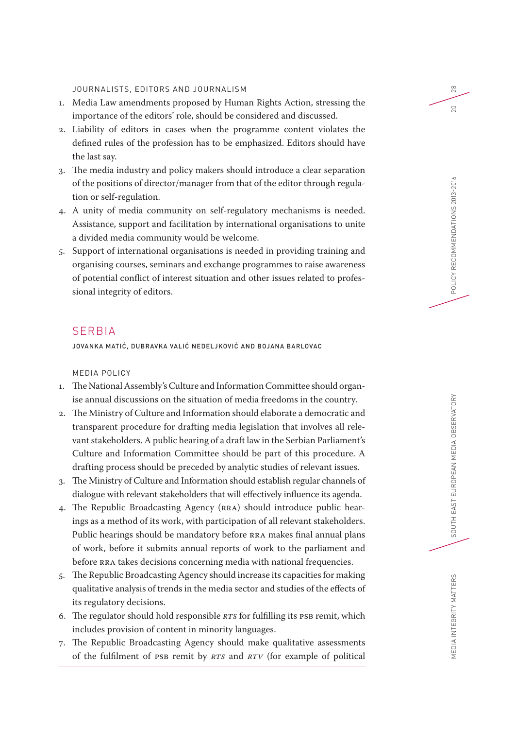JOURNALISTS, EDITORS AND JOURNALISM

- 1. Media Law amendments proposed by Human Rights Action, stressing the importance of the editors' role, should be considered and discussed.
- 2. Liability of editors in cases when the programme content violates the defined rules of the profession has to be emphasized. Editors should have the last say.
- 3. The media industry and policy makers should introduce a clear separation of the positions of director/manager from that of the editor through regulation or self-regulation.
- 4. A unity of media community on self-regulatory mechanisms is needed. Assistance, support and facilitation by international organisations to unite a divided media community would be welcome.
- 5. Support of international organisations is needed in providing training and organising courses, seminars and exchange programmes to raise awareness of potential conflict of interest situation and other issues related to professional integrity of editors.

# SERBIA

JOVANKA MATIĆ, DUBRAVKA VALIĆ NEDELJKOVIĆ AND BOJANA BARLOVAC

MEDIA POLICY

- 1. The National Assembly's Culture and Information Committee should organise annual discussions on the situation of media freedoms in the country.
- 2. The Ministry of Culture and Information should elaborate a democratic and transparent procedure for drafting media legislation that involves all relevant stakeholders. A public hearing of a draft law in the Serbian Parliament's Culture and Information Committee should be part of this procedure. A drafting process should be preceded by analytic studies of relevant issues.
- 3. The Ministry of Culture and Information should establish regular channels of dialogue with relevant stakeholders that will effectively influence its agenda.
- 4. The Republic Broadcasting Agency (RRA) should introduce public hearings as a method of its work, with participation of all relevant stakeholders. Public hearings should be mandatory before RRA makes final annual plans of work, before it submits annual reports of work to the parliament and before RRA takes decisions concerning media with national frequencies.
- 5. The Republic Broadcasting Agency should increase its capacities for making qualitative analysis of trends in the media sector and studies of the effects of its regulatory decisions.
- 6. The regulator should hold responsible *RTS* for fulfilling its PSB remit, which includes provision of content in minority languages.
- 7. The Republic Broadcasting Agency should make qualitative assessments of the fulfilment of PSB remit by *RTS* and *RTV* (for example of political

28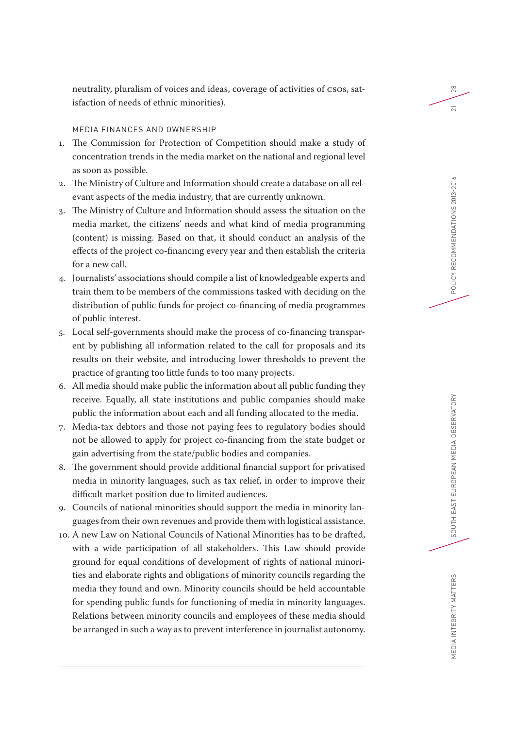# MEDIA FINANCES AND OWNERSHIP

isfaction of needs of ethnic minorities).

- 1. The Commission for Protection of Competition should make a study of concentration trends in the media market on the national and regional level as soon as possible.
- 2. The Ministry of Culture and Information should create a database on all relevant aspects of the media industry, that are currently unknown.
- 3. The Ministry of Culture and Information should assess the situation on the media market, the citizens' needs and what kind of media programming (content) is missing. Based on that, it should conduct an analysis of the effects of the project co-financing every year and then establish the criteria for a new call.
- 4. Journalists' associations should compile a list of knowledgeable experts and train them to be members of the commissions tasked with deciding on the distribution of public funds for project co-financing of media programmes of public interest.
- 5. Local self-governments should make the process of co-financing transparent by publishing all information related to the call for proposals and its results on their website, and introducing lower thresholds to prevent the practice of granting too little funds to too many projects.
- 6. All media should make public the information about all public funding they receive. Equally, all state institutions and public companies should make public the information about each and all funding allocated to the media.
- 7. Media-tax debtors and those not paying fees to regulatory bodies should not be allowed to apply for project co-financing from the state budget or gain advertising from the state/public bodies and companies.
- 8. The government should provide additional financial support for privatised media in minority languages, such as tax relief, in order to improve their difficult market position due to limited audiences.
- 9. Councils of national minorities should support the media in minority languages from their own revenues and provide them with logistical assistance.
- 10. A new Law on National Councils of National Minorities has to be drafted, with a wide participation of all stakeholders. This Law should provide ground for equal conditions of development of rights of national minorities and elaborate rights and obligations of minority councils regarding the media they found and own. Minority councils should be held accountable for spending public funds for functioning of media in minority languages. Relations between minority councils and employees of these media should be arranged in such a way as to prevent interference in journalist autonomy.

28

 $\overline{21}$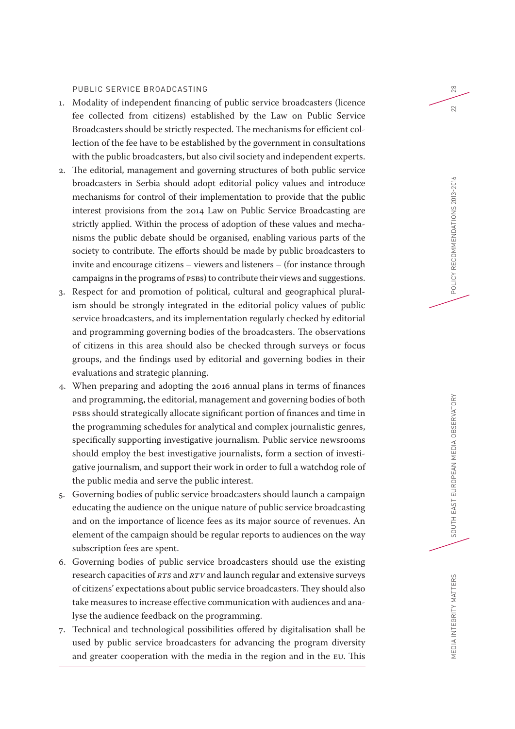# PUBLIC SERVICE BROADCASTING

- 1. Modality of independent financing of public service broadcasters (licence fee collected from citizens) established by the Law on Public Service Broadcasters should be strictly respected. The mechanisms for efficient collection of the fee have to be established by the government in consultations with the public broadcasters, but also civil society and independent experts.
- 2. The editorial, management and governing structures of both public service broadcasters in Serbia should adopt editorial policy values and introduce mechanisms for control of their implementation to provide that the public interest provisions from the 2014 Law on Public Service Broadcasting are strictly applied. Within the process of adoption of these values and mechanisms the public debate should be organised, enabling various parts of the society to contribute. The efforts should be made by public broadcasters to invite and encourage citizens – viewers and listeners – (for instance through campaigns in the programs of PSBs) to contribute their views and suggestions.
- 3. Respect for and promotion of political, cultural and geographical pluralism should be strongly integrated in the editorial policy values of public service broadcasters, and its implementation regularly checked by editorial and programming governing bodies of the broadcasters. The observations of citizens in this area should also be checked through surveys or focus groups, and the findings used by editorial and governing bodies in their evaluations and strategic planning.
- 4. When preparing and adopting the 2016 annual plans in terms of finances and programming, the editorial, management and governing bodies of both PSBs should strategically allocate significant portion of finances and time in the programming schedules for analytical and complex journalistic genres, specifically supporting investigative journalism. Public service newsrooms should employ the best investigative journalists, form a section of investigative journalism, and support their work in order to full a watchdog role of the public media and serve the public interest.
- 5. Governing bodies of public service broadcasters should launch a campaign educating the audience on the unique nature of public service broadcasting and on the importance of licence fees as its major source of revenues. An element of the campaign should be regular reports to audiences on the way subscription fees are spent.
- 6. Governing bodies of public service broadcasters should use the existing research capacities of *RTS* and *RTV* and launch regular and extensive surveys of citizens' expectations about public service broadcasters. They should also take measures to increase effective communication with audiences and analyse the audience feedback on the programming.
- 7. Technical and technological possibilities offered by digitalisation shall be used by public service broadcasters for advancing the program diversity and greater cooperation with the media in the region and in the EU. This

SOUTH EAST EUROPEAN MEDIA OBSERVATORY

MEDIA INTEGRITY MATTERS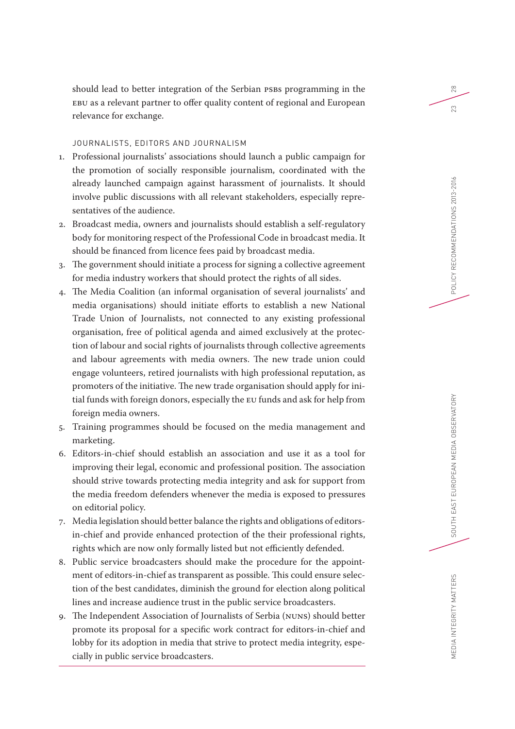should lead to better integration of the Serbian PSBs programming in the EBU as a relevant partner to offer quality content of regional and European relevance for exchange.

# JOURNALISTS, EDITORS AND JOURNALISM

- 1. Professional journalists' associations should launch a public campaign for the promotion of socially responsible journalism, coordinated with the already launched campaign against harassment of journalists. It should involve public discussions with all relevant stakeholders, especially representatives of the audience.
- 2. Broadcast media, owners and journalists should establish a self-regulatory body for monitoring respect of the Professional Code in broadcast media. It should be financed from licence fees paid by broadcast media.
- 3. The government should initiate a process for signing a collective agreement for media industry workers that should protect the rights of all sides.
- 4. The Media Coalition (an informal organisation of several journalists' and media organisations) should initiate efforts to establish a new National Trade Union of Journalists, not connected to any existing professional organisation, free of political agenda and aimed exclusively at the protection of labour and social rights of journalists through collective agreements and labour agreements with media owners. The new trade union could engage volunteers, retired journalists with high professional reputation, as promoters of the initiative. The new trade organisation should apply for initial funds with foreign donors, especially the EU funds and ask for help from foreign media owners.
- 5. Training programmes should be focused on the media management and marketing.
- 6. Editors-in-chief should establish an association and use it as a tool for improving their legal, economic and professional position. The association should strive towards protecting media integrity and ask for support from the media freedom defenders whenever the media is exposed to pressures on editorial policy.
- 7. Media legislation should better balance the rights and obligations of editorsin-chief and provide enhanced protection of the their professional rights, rights which are now only formally listed but not efficiently defended.
- 8. Public service broadcasters should make the procedure for the appointment of editors-in-chief as transparent as possible. This could ensure selection of the best candidates, diminish the ground for election along political lines and increase audience trust in the public service broadcasters.
- 9. The Independent Association of Journalists of Serbia (NUNS) should better promote its proposal for a specific work contract for editors-in-chief and lobby for its adoption in media that strive to protect media integrity, especially in public service broadcasters.

28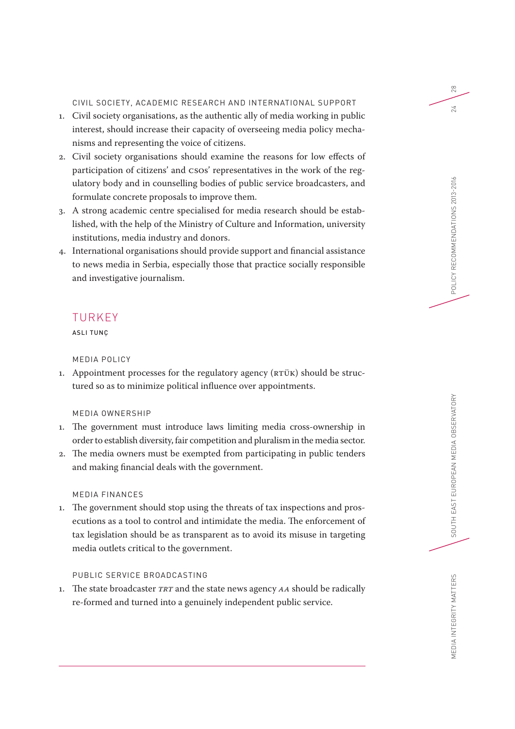CIVIL SOCIETY, ACADEMIC RESEARCH AND INTERNATIONAL SUPPORT

- 1. Civil society organisations, as the authentic ally of media working in public interest, should increase their capacity of overseeing media policy mechanisms and representing the voice of citizens.
- 2. Civil society organisations should examine the reasons for low effects of participation of citizens' and CSOs' representatives in the work of the regulatory body and in counselling bodies of public service broadcasters, and formulate concrete proposals to improve them.
- 3. A strong academic centre specialised for media research should be established, with the help of the Ministry of Culture and Information, university institutions, media industry and donors.
- 4. International organisations should provide support and financial assistance to news media in Serbia, especially those that practice socially responsible and investigative journalism.

# TURKEY

ASLI TUNÇ

# MEDIA POLICY

1. Appointment processes for the regulatory agency (RTÜK) should be structured so as to minimize political influence over appointments.

# MEDIA OWNERSHIP

- 1. The government must introduce laws limiting media cross-ownership in order to establish diversity, fair competition and pluralism in the media sector.
- 2. The media owners must be exempted from participating in public tenders and making financial deals with the government.

#### MEDIA FINANCES

1. The government should stop using the threats of tax inspections and prosecutions as a tool to control and intimidate the media. The enforcement of tax legislation should be as transparent as to avoid its misuse in targeting media outlets critical to the government.

# PUBLIC SERVICE BROADCASTING

1. The state broadcaster *TRT* and the state news agency *AA* should be radically re-formed and turned into a genuinely independent public service.

SOUTH EAST EUROPEAN MEDIA OBSERVATORY

MEDIA INTEGRITY MATTERS

 $28$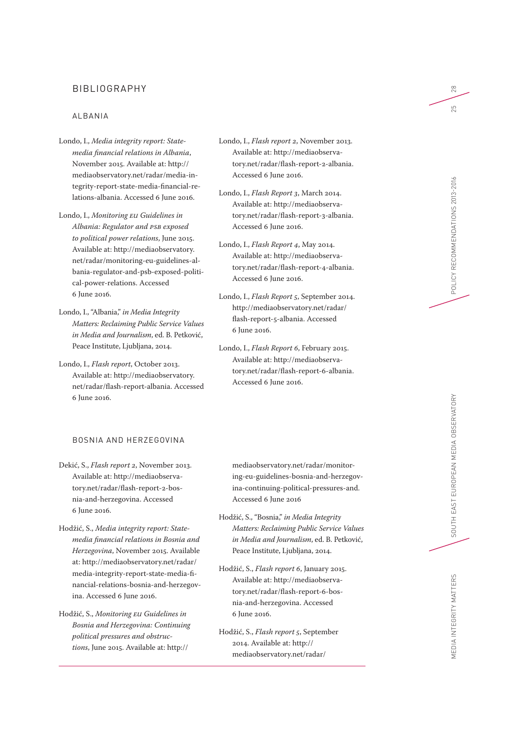# BIBLIOGRAPHY

#### ALBANIA

- Londo, I., *Media integrity report: Statemedia financial relations in Albania*, November 2015. Available at: [http://](http://mediaobservatory.net/radar/media-integrity-report-state-media-financial-relations-albania) [mediaobservatory.net/radar/media-in](http://mediaobservatory.net/radar/media-integrity-report-state-media-financial-relations-albania)[tegrity-report-state-media-financial-re](http://mediaobservatory.net/radar/media-integrity-report-state-media-financial-relations-albania)[lations-albania](http://mediaobservatory.net/radar/media-integrity-report-state-media-financial-relations-albania). Accessed 6 June 2016.
- Londo, I., *Monitoring EU Guidelines in Albania: Regulator and PSB exposed to political power relations*, June 2015. Available at: [http://mediaobservatory.](http://mediaobservatory.net/radar/monitoring-eu-guidelines-albania-regulator-and-psb-exposed-political-power-relations) [net/radar/monitoring-eu-guidelines-al](http://mediaobservatory.net/radar/monitoring-eu-guidelines-albania-regulator-and-psb-exposed-political-power-relations)[bania-regulator-and-psb-exposed-politi](http://mediaobservatory.net/radar/monitoring-eu-guidelines-albania-regulator-and-psb-exposed-political-power-relations)[cal-power-relations.](http://mediaobservatory.net/radar/monitoring-eu-guidelines-albania-regulator-and-psb-exposed-political-power-relations) Accessed 6 June 2016.
- Londo, I., "Albania," *in Media Integrity Matters: Reclaiming Public Service Values in Media and Journalism*, ed. B. Petković, Peace Institute, Ljubljana, 2014.
- Londo, I., *Flash report*, October 2013. Available at: [http://mediaobservatory.](http://mediaobservatory.net/radar/flash-report-albania) [net/radar/flash-report-albania](http://mediaobservatory.net/radar/flash-report-albania). Accessed 6 June 2016.

### BOSNIA AND HERZEGOVINA

- Dekić, S., *Flash report 2*, November 2013. Available at: [http://mediaobserva](http://mediaobservatory.net/radar/flash-report-2-bosnia-and-herzegovina)[tory.net/radar/flash-report-2-bos](http://mediaobservatory.net/radar/flash-report-2-bosnia-and-herzegovina)[nia-and-herzegovina.](http://mediaobservatory.net/radar/flash-report-2-bosnia-and-herzegovina) Accessed 6 June 2016.
- Hodžić, S., *Media integrity report: Statemedia financial relations in Bosnia and Herzegovina*, November 2015. Available at: [http://mediaobservatory.net/radar/](http://mediaobservatory.net/radar/media-integrity-report-state-media-financial-relations-bosnia-and-herzegovina) [media-integrity-report-state-media-fi](http://mediaobservatory.net/radar/media-integrity-report-state-media-financial-relations-bosnia-and-herzegovina)[nancial-relations-bosnia-and-herzegov](http://mediaobservatory.net/radar/media-integrity-report-state-media-financial-relations-bosnia-and-herzegovina)[ina](http://mediaobservatory.net/radar/media-integrity-report-state-media-financial-relations-bosnia-and-herzegovina). Accessed 6 June 2016.
- Hodžić, S., *Monitoring EU Guidelines in Bosnia and Herzegovina: Continuing political pressures and obstructions*, June 2015. Available at: [http://](http://mediaobservatory.net/radar/monitoring-eu-guidelines-bosnia-and-herzegovina-continuing-political-pressures-and)
- Londo, I., *Flash report 2*, November 2013. Available at: [http://mediaobserva](http://mediaobservatory.net/radar/flash-report-2-albania)[tory.net/radar/flash-report-2-albania.](http://mediaobservatory.net/radar/flash-report-2-albania) Accessed 6 June 2016.
- Londo, I., *Flash Report 3*, March 2014. Available at: [http://mediaobserva](http://mediaobservatory.net/radar/flash-report-3-albania)[tory.net/radar/flash-report-3-albania.](http://mediaobservatory.net/radar/flash-report-3-albania) Accessed 6 June 2016.
- Londo, I., *Flash Report 4*, May 2014. Available at: [http://mediaobserva](http://mediaobservatory.net/radar/flash-report-4-albania)[tory.net/radar/flash-report-4-albania](http://mediaobservatory.net/radar/flash-report-4-albania). Accessed 6 June 2016.
- Londo, I., *Flash Report 5*, September 2014. [http://mediaobservatory.net/radar/](http://mediaobservatory.net/radar/flash-report-5-albania) [flash-report-5-albania.](http://mediaobservatory.net/radar/flash-report-5-albania) Accessed 6 June 2016.
- Londo, I., *Flash Report 6*, February 2015. Available at: [http://mediaobserva](http://mediaobservatory.net/radar/flash-report-6-albania)[tory.net/radar/flash-report-6-albania](http://mediaobservatory.net/radar/flash-report-6-albania). Accessed 6 June 2016.

- [mediaobservatory.net/radar/monitor](http://mediaobservatory.net/radar/monitoring-eu-guidelines-bosnia-and-herzegovina-continuing-political-pressures-and)[ing-eu-guidelines-bosnia-and-herzegov](http://mediaobservatory.net/radar/monitoring-eu-guidelines-bosnia-and-herzegovina-continuing-political-pressures-and)[ina-continuing-political-pressures-and](http://mediaobservatory.net/radar/monitoring-eu-guidelines-bosnia-and-herzegovina-continuing-political-pressures-and). Accessed 6 June 2016
- Hodžić, S., "Bosnia," *in Media Integrity Matters: Reclaiming Public Service Values in Media and Journalism*, ed. B. Petković, Peace Institute, Ljubljana, 2014.
- Hodžić, S., *Flash report 6*, January 2015. Available at: [http://mediaobserva](http://mediaobservatory.net/radar/flash-report-6-bosnia-and-herzegovina)[tory.net/radar/flash-report-6-bos](http://mediaobservatory.net/radar/flash-report-6-bosnia-and-herzegovina)[nia-and-herzegovina](http://mediaobservatory.net/radar/flash-report-6-bosnia-and-herzegovina). Accessed 6 June 2016.
- Hodžić, S., *Flash report 5*, September 2014. Available at: [http://](http://mediaobservatory.net/radar/flash-report-5-bosnia-and-herzegovina) [mediaobservatory.net/radar/](http://mediaobservatory.net/radar/flash-report-5-bosnia-and-herzegovina)

28 25

POLICY RECOMMENDATIONS 2013-2016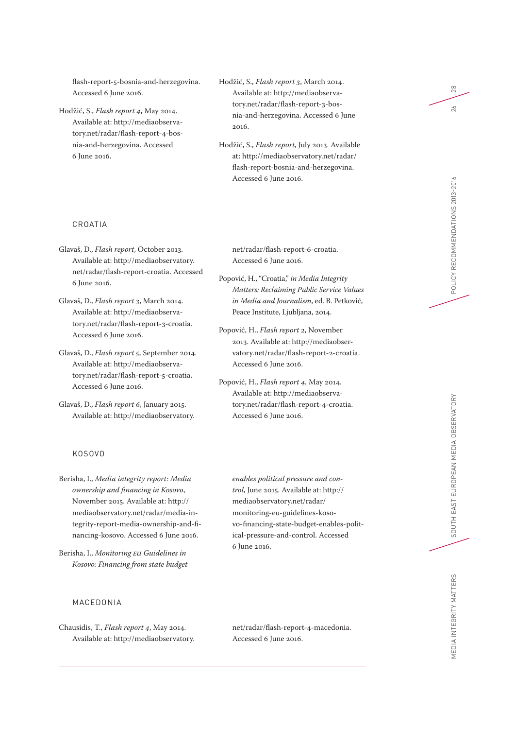[flash-report-5-bosnia-and-herzegovina.](http://mediaobservatory.net/radar/flash-report-5-bosnia-and-herzegovina) Accessed 6 June 2016.

Hodžić, S., *Flash report 4*, May 2014. Available at: [http://mediaobserva](http://mediaobservatory.net/radar/flash-report-4-bosnia-and-herzegovina)[tory.net/radar/flash-report-4-bos](http://mediaobservatory.net/radar/flash-report-4-bosnia-and-herzegovina)[nia-and-herzegovina.](http://mediaobservatory.net/radar/flash-report-4-bosnia-and-herzegovina) Accessed 6 June 2016.

#### CROATIA

Glavaš, D., *Flash report*, October 2013. Available at: [http://mediaobservatory.](http://mediaobservatory.net/radar/flash-report-croatia) [net/radar/flash-report-croatia](http://mediaobservatory.net/radar/flash-report-croatia). Accessed 6 June 2016.

Glavaš, D., *Flash report 3*, March 2014. Available at: [http://mediaobserva](http://mediaobservatory.net/radar/flash-report-3-croatia)[tory.net/radar/flash-report-3-croatia.](http://mediaobservatory.net/radar/flash-report-3-croatia) Accessed 6 June 2016.

Glavaš, D., *Flash report 5*, September 2014. Available at: [http://mediaobserva](http://mediaobservatory.net/radar/flash-report-5-croatia)[tory.net/radar/flash-report-5-croatia](http://mediaobservatory.net/radar/flash-report-5-croatia). Accessed 6 June 2016.

Glavaš, D., *Flash report 6*, January 2015. Available at: [http://mediaobservatory.](http://mediaobservatory.net/radar/flash-report-6-croatia)

#### KOSOVO

Berisha, I., *Media integrity report: Media ownership and financing in Kosovo*, November 2015. Available at: [http://](http://mediaobservatory.net/radar/media-integrity-report-media-ownership-and-financing-kosovo) [mediaobservatory.net/radar/media-in](http://mediaobservatory.net/radar/media-integrity-report-media-ownership-and-financing-kosovo)[tegrity-report-media-ownership-and-fi](http://mediaobservatory.net/radar/media-integrity-report-media-ownership-and-financing-kosovo)[nancing-kosovo](http://mediaobservatory.net/radar/media-integrity-report-media-ownership-and-financing-kosovo). Accessed 6 June 2016.

Berisha, I., *Monitoring EU Guidelines in Kosovo: Financing from state budget* 

# MACEDONIA

Chausidis, T., *Flash report 4*, May 2014. Available at: [http://mediaobservatory.](http://mediaobservatory.net/radar/flash-report-4-macedonia) Hodžić, S., *Flash report 3*, March 2014. Available at: [http://mediaobserva](http://mediaobservatory.net/radar/flash-report-3-bosnia-and-herzegovina)[tory.net/radar/flash-report-3-bos](http://mediaobservatory.net/radar/flash-report-3-bosnia-and-herzegovina)[nia-and-herzegovina](http://mediaobservatory.net/radar/flash-report-3-bosnia-and-herzegovina). Accessed 6 June 2016.

Hodžić, S., *Flash report*, July 2013. Available at: [http://mediaobservatory.net/radar/](http://mediaobservatory.net/radar/flash-report-bosnia-and-herzegovina) [flash-report-bosnia-and-herzegovina](http://mediaobservatory.net/radar/flash-report-bosnia-and-herzegovina). Accessed 6 June 2016.

[net/radar/flash-report-6-croatia](http://mediaobservatory.net/radar/flash-report-6-croatia). Accessed 6 June 2016.

Popović, H., "Croatia," *in Media Integrity Matters: Reclaiming Public Service Values in Media and Journalism*, ed. B. Petković, Peace Institute, Ljubljana, 2014.

Popović, H., *Flash report 2*, November 2013. Available at: [http://mediaobser](http://mediaobservatory.net/radar/flash-report-2-croatia)[vatory.net/radar/flash-report-2-croatia](http://mediaobservatory.net/radar/flash-report-2-croatia). Accessed 6 June 2016.

Popović, H., *Flash report 4*, May 2014. Available at: [http://mediaobserva](http://mediaobservatory.net/radar/flash-report-4-croatia)[tory.net/radar/flash-report-4-croatia](http://mediaobservatory.net/radar/flash-report-4-croatia). Accessed 6 June 2016.

*enables political pressure and control*, June 2015. Available at: [http://](http://mediaobservatory.net/radar/monitoring-eu-guidelines-kosovo-financing-state-budget-enables-political-pressure-and-control) [mediaobservatory.net/radar/](http://mediaobservatory.net/radar/monitoring-eu-guidelines-kosovo-financing-state-budget-enables-political-pressure-and-control) [monitoring-eu-guidelines-koso](http://mediaobservatory.net/radar/monitoring-eu-guidelines-kosovo-financing-state-budget-enables-political-pressure-and-control)[vo-financing-state-budget-enables-polit](http://mediaobservatory.net/radar/monitoring-eu-guidelines-kosovo-financing-state-budget-enables-political-pressure-and-control)[ical-pressure-and-control](http://mediaobservatory.net/radar/monitoring-eu-guidelines-kosovo-financing-state-budget-enables-political-pressure-and-control). Accessed 6 June 2016.

[net/radar/flash-report-4-macedonia](http://mediaobservatory.net/radar/flash-report-4-macedonia). Accessed 6 June 2016.

 $28\,$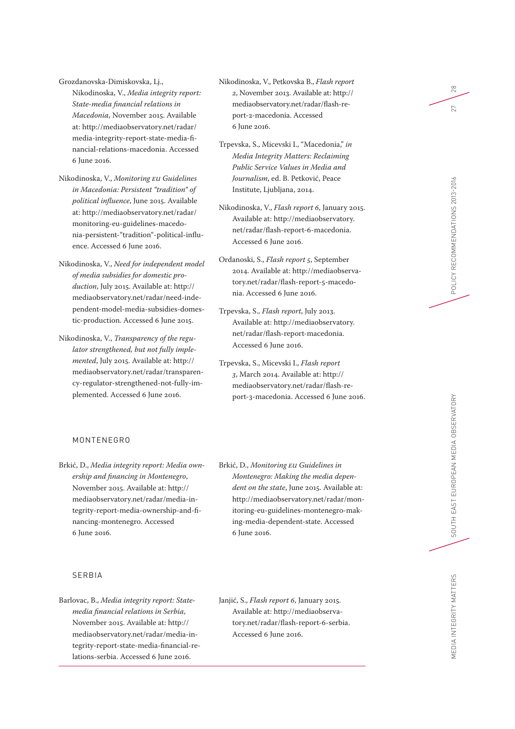Grozdanovska-Dimiskovska, Lj., Nikodinoska, V., *Media integrity report: State-media financial relations in Macedonia*, November 2015. Available at: [http://mediaobservatory.net/radar/](http://mediaobservatory.net/radar/media-integrity-report-state-media-financial-relations-macedonia) [media-integrity-report-state-media-fi](http://mediaobservatory.net/radar/media-integrity-report-state-media-financial-relations-macedonia)[nancial-relations-macedonia](http://mediaobservatory.net/radar/media-integrity-report-state-media-financial-relations-macedonia). Accessed 6 June 2016.

- Nikodinoska, V., *Monitoring EU Guidelines in Macedonia: Persistent "tradition" of political influence*, June 2015. Available at: [http://mediaobservatory.net/radar/](http://mediaobservatory.net/radar/monitoring-eu-guidelines-macedonia-persistent-“tradition“-political-influence) [monitoring-eu-guidelines-macedo](http://mediaobservatory.net/radar/monitoring-eu-guidelines-macedonia-persistent-“tradition“-political-influence)[nia-persistent-"tradition"-political-influ](http://mediaobservatory.net/radar/monitoring-eu-guidelines-macedonia-persistent-“tradition“-political-influence)[ence.](http://mediaobservatory.net/radar/monitoring-eu-guidelines-macedonia-persistent-“tradition“-political-influence) Accessed 6 June 2016.
- Nikodinoska, V., *Need for independent model of media subsidies for domestic production*, July 2015. Available at: [http://](http://mediaobservatory.net/radar/need-independent-model-media-subsidies-domestic-production) [mediaobservatory.net/radar/need-inde](http://mediaobservatory.net/radar/need-independent-model-media-subsidies-domestic-production)[pendent-model-media-subsidies-domes](http://mediaobservatory.net/radar/need-independent-model-media-subsidies-domestic-production)[tic-production](http://mediaobservatory.net/radar/need-independent-model-media-subsidies-domestic-production). Accessed 6 June 2015.
- Nikodinoska, V., *Transparency of the regulator strengthened, but not fully implemented*, July 2015. Available at: [http://](http://mediaobservatory.net/radar/transparency-regulator-strengthened-not-fully-implemented) [mediaobservatory.net/radar/transparen](http://mediaobservatory.net/radar/transparency-regulator-strengthened-not-fully-implemented)[cy-regulator-strengthened-not-fully-im](http://mediaobservatory.net/radar/transparency-regulator-strengthened-not-fully-implemented)[plemented](http://mediaobservatory.net/radar/transparency-regulator-strengthened-not-fully-implemented). Accessed 6 June 2016.

# Nikodinoska, V., Petkovska B., *Flash report 2*, November 2013. Available at: [http://](http://mediaobservatory.net/radar/flash-report-2-macedonia) [mediaobservatory.net/radar/flash-re](http://mediaobservatory.net/radar/flash-report-2-macedonia)[port-2-macedonia](http://mediaobservatory.net/radar/flash-report-2-macedonia). Accessed 6 June 2016.

- Trpevska, S., Micevski I., "Macedonia," *in Media Integrity Matters: Reclaiming Public Service Values in Media and Journalism*, ed. B. Petković, Peace Institute, Ljubljana, 2014.
- Nikodinoska, V., *Flash report 6*, January 2015. Available at: [http://mediaobservatory.](http://mediaobservatory.net/radar/flash-report-6-macedonia) [net/radar/flash-report-6-macedonia](http://mediaobservatory.net/radar/flash-report-6-macedonia). Accessed 6 June 2016.
- Ordanoski, S., *Flash report 5*, September 2014. Available at: [http://mediaobserva](http://mediaobservatory.net/radar/flash-report-5-macedonia)[tory.net/radar/flash-report-5-macedo](http://mediaobservatory.net/radar/flash-report-5-macedonia)[nia](http://mediaobservatory.net/radar/flash-report-5-macedonia). Accessed 6 June 2016.
- Trpevska, S., *Flash report*, July 2013. Available at: [http://mediaobservatory.](http://mediaobservatory.net/radar/flash-report-macedonia) [net/radar/flash-report-macedonia](http://mediaobservatory.net/radar/flash-report-macedonia). Accessed 6 June 2016.
- Trpevska, S., Micevski I., *Flash report 3*, March 2014. Available at: [http://](http://mediaobservatory.net/radar/flash-report-3-macedonia) [mediaobservatory.net/radar/flash-re](http://mediaobservatory.net/radar/flash-report-3-macedonia)[port-3-macedonia](http://mediaobservatory.net/radar/flash-report-3-macedonia). Accessed 6 June 2016.

Brkić, D., *Media integrity report: Media ownership and financing in Montenegro*, November 2015. Available at: [http://](http://mediaobservatory.net/radar/media-integrity-report-media-ownership-and-financing-montenegro) [mediaobservatory.net/radar/media-in](http://mediaobservatory.net/radar/media-integrity-report-media-ownership-and-financing-montenegro)[tegrity-report-media-ownership-and-fi](http://mediaobservatory.net/radar/media-integrity-report-media-ownership-and-financing-montenegro)[nancing-montenegro.](http://mediaobservatory.net/radar/media-integrity-report-media-ownership-and-financing-montenegro) Accessed 6 June 2016.

#### SERBIA

MONTENEGRO

- Barlovac, B., *Media integrity report: Statemedia financial relations in Serbia*, November 2015. Available at: [http://](http://mediaobservatory.net/radar/media-integrity-report-state-media-financial-relations-serbia) [mediaobservatory.net/radar/media-in](http://mediaobservatory.net/radar/media-integrity-report-state-media-financial-relations-serbia)[tegrity-report-state-media-financial-re](http://mediaobservatory.net/radar/media-integrity-report-state-media-financial-relations-serbia)[lations-serbia.](http://mediaobservatory.net/radar/media-integrity-report-state-media-financial-relations-serbia) Accessed 6 June 2016.
- Brkić, D., *Monitoring EU Guidelines in Montenegro: Making the media dependent on the state*, June 2015. Available at: [http://mediaobservatory.net/radar/mon](http://mediaobservatory.net/radar/monitoring-eu-guidelines-montenegro-making-media-dependent-state)[itoring-eu-guidelines-montenegro-mak](http://mediaobservatory.net/radar/monitoring-eu-guidelines-montenegro-making-media-dependent-state)[ing-media-dependent-state.](http://mediaobservatory.net/radar/monitoring-eu-guidelines-montenegro-making-media-dependent-state) Accessed 6 June 2016.
- Janjić, S., *Flash report 6*, January 2015. Available at: [http://mediaobserva](http://mediaobservatory.net/radar/flash-report-6-serbia)[tory.net/radar/flash-report-6-serbia.](http://mediaobservatory.net/radar/flash-report-6-serbia) Accessed 6 June 2016.